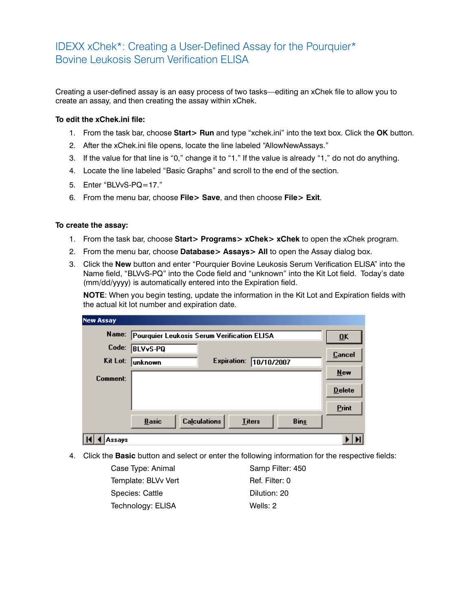## IDEXX xChek\*: Creating a User-Defined Assay for the Pourquier\* Bovine Leukosis Serum Verification ELISA

Creating a user-defined assay is an easy process of two tasks—editing an xChek file to allow you to create an assay, and then creating the assay within xChek.

## **To edit the xChek.ini file:**

- 1. From the task bar, choose **Start> Run** and type "xchek.ini" into the text box. Click the **OK** button.
- 2. After the xChek.ini file opens, locate the line labeled "AllowNewAssays."
- 3. If the value for that line is "0," change it to "1." If the value is already "1," do not do anything.
- 4. Locate the line labeled "Basic Graphs" and scroll to the end of the section.
- 5. Enter "BLVvS-PQ=17."
- 6. From the menu bar, choose **File> Save**, and then choose **File> Exit**.

## **To create the assay:**

- 1. From the task bar, choose **Start> Programs> xChek> xChek** to open the xChek program.
- 2. From the menu bar, choose **Database> Assays> All** to open the Assay dialog box.
- 3. Click the **New** button and enter "Pourquier Bovine Leukosis Serum Verification ELISA" into the Name field, "BLVvS-PQ" into the Code field and "unknown" into the Kit Lot field. Today's date (mm/dd/yyyy) is automatically entered into the Expiration field.

**NOTE:** When you begin testing, update the information in the Kit Lot and Expiration fields with the actual kit lot number and expiration date.

| <b>New Assay</b> |                                                                     |                           |
|------------------|---------------------------------------------------------------------|---------------------------|
| Name:            | Pourquier Leukosis Serum Verification ELISA                         | $\overline{\mathbf{0}}$ K |
| Code:            | <b>BLVvS-PQ</b>                                                     | Cancel                    |
| Kit Lot:         | <b>Expiration:</b><br>10/10/2007<br><b>unknown</b>                  |                           |
| Comment:         |                                                                     | <b>New</b>                |
|                  |                                                                     | <b>Delete</b>             |
|                  |                                                                     | Print                     |
|                  | <b>Calculations</b><br><b>Bins</b><br><b>Basic</b><br><b>Titers</b> |                           |
| Assavs           |                                                                     |                           |

4. Click the **Basic** button and select or enter the following information for the respective fields:

| Case Type: Animal   | Samp Filter: 450 |
|---------------------|------------------|
| Template: BLVv Vert | Ref. Filter: 0   |
| Species: Cattle     | Dilution: 20     |
| Technology: ELISA   | Wells: 2         |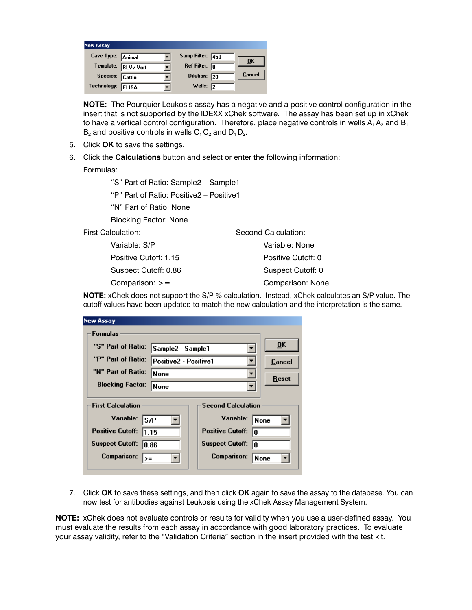| <b>New Assay</b>  |                     |                         |               |
|-------------------|---------------------|-------------------------|---------------|
| Case Type: Animal |                     | Samp Filter: 450        | ŪK            |
|                   | Template: BLVv Vert | Ref Filter: $\boxed{0}$ |               |
| Species: Cattle   |                     | Dilution: 20            | <b>Cancel</b> |
| Technology:       | <b>ELISA</b>        | Wells: $\sqrt{2}$       |               |

**NOTE:** The Pourquier Leukosis assay has a negative and a positive control configuration in the insert that is not supported by the IDEXX xChek software. The assay has been set up in xChek to have a vertical control configuration. Therefore, place negative controls in wells  $A_1 A_2$  and  $B_1$  $B_2$  and positive controls in wells  $C_1 C_2$  and  $D_1 D_2$ .

- 5. Click **OK** to save the settings.
- 6. Click the **Calculations** button and select or enter the following information:

Formulas:

"S" Part of Ratio: Sample2 – Sample1

"P" Part of Ratio: Positive2 – Positive1

"N" Part of Ratio: None

Blocking Factor: None

First Calculation:

 Variable: S/P Positive Cutoff: 1.15 Suspect Cutoff: 0.86 Comparison: >=

Second Calculation: Variable: None Positive Cutoff: 0 Suspect Cutoff: 0 Comparison: None

**NOTE:** xChek does not support the S/P % calculation. Instead, xChek calculates an S/P value. The cutoff values have been updated to match the new calculation and the interpretation is the same.

|                                                       | <b>New Assay</b>                 |                       |  |                               |                           |
|-------------------------------------------------------|----------------------------------|-----------------------|--|-------------------------------|---------------------------|
|                                                       | Formulas                         |                       |  |                               |                           |
|                                                       | "S" Part of Ratio:               | Sample2 - Sample1     |  |                               | $\overline{\mathbf{0}}$ K |
|                                                       | "P" Part of Ratio:               | Positive2 - Positive1 |  | Cancel                        |                           |
|                                                       | "N" Part of Ratio:               | None                  |  |                               | Reset                     |
|                                                       | <b>Blocking Factor:</b><br> None |                       |  |                               |                           |
| <b>Second Calculation</b><br><b>First Calculation</b> |                                  |                       |  |                               |                           |
|                                                       | Variable:                        | S/P                   |  | Variable:                     | None                      |
|                                                       | <b>Positive Cutoff:</b><br>11.15 |                       |  | <b>Positive Cutoff:</b><br>lo |                           |
|                                                       | <b>Suspect Cutoff:</b><br>10.86  |                       |  | <b>Suspect Cutoff:</b><br>In  |                           |
|                                                       | Comparison:<br>$\rangle =$       |                       |  | Comparison:<br> None          |                           |
|                                                       |                                  |                       |  |                               |                           |

7. Click **OK** to save these settings, and then click **OK** again to save the assay to the database. You can now test for antibodies against Leukosis using the xChek Assay Management System.

**NOTE:** xChek does not evaluate controls or results for validity when you use a user-defined assay. You must evaluate the results from each assay in accordance with good laboratory practices. To evaluate your assay validity, refer to the "Validation Criteria" section in the insert provided with the test kit.